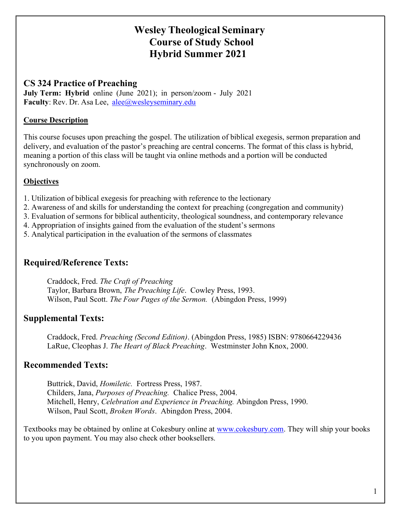# Wesley Theological Seminary Course of Study School Hybrid Summer 2021

### CS 324 Practice of Preaching

July Term: Hybrid online (June 2021); in person/zoom - July 2021 Faculty: Rev. Dr. Asa Lee, alee@wesleyseminary.edu

#### Course Description

This course focuses upon preaching the gospel. The utilization of biblical exegesis, sermon preparation and delivery, and evaluation of the pastor's preaching are central concerns. The format of this class is hybrid, meaning a portion of this class will be taught via online methods and a portion will be conducted synchronously on zoom.

### **Objectives**

- 1. Utilization of biblical exegesis for preaching with reference to the lectionary
- 2. Awareness of and skills for understanding the context for preaching (congregation and community)
- 3. Evaluation of sermons for biblical authenticity, theological soundness, and contemporary relevance
- 4. Appropriation of insights gained from the evaluation of the student's sermons
- 5. Analytical participation in the evaluation of the sermons of classmates

## Required/Reference Texts:

Craddock, Fred. The Craft of Preaching Taylor, Barbara Brown, The Preaching Life. Cowley Press, 1993. Wilson, Paul Scott. The Four Pages of the Sermon. (Abingdon Press, 1999)

### Supplemental Texts:

Craddock, Fred. Preaching (Second Edition). (Abingdon Press, 1985) ISBN: 9780664229436 LaRue, Cleophas J. The Heart of Black Preaching. Westminster John Knox, 2000.

## Recommended Texts:

Buttrick, David, Homiletic. Fortress Press, 1987. Childers, Jana, Purposes of Preaching. Chalice Press, 2004. Mitchell, Henry, Celebration and Experience in Preaching. Abingdon Press, 1990. Wilson, Paul Scott, Broken Words. Abingdon Press, 2004.

Textbooks may be obtained by online at Cokesbury online at www.cokesbury.com. They will ship your books to you upon payment. You may also check other booksellers.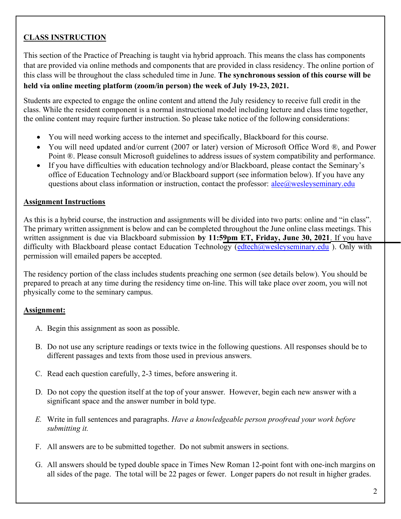## CLASS INSTRUCTION

This section of the Practice of Preaching is taught via hybrid approach. This means the class has components that are provided via online methods and components that are provided in class residency. The online portion of this class will be throughout the class scheduled time in June. The synchronous session of this course will be held via online meeting platform (zoom/in person) the week of July 19-23, 2021.

Students are expected to engage the online content and attend the July residency to receive full credit in the class. While the resident component is a normal instructional model including lecture and class time together, the online content may require further instruction. So please take notice of the following considerations:

- You will need working access to the internet and specifically, Blackboard for this course.
- You will need updated and/or current (2007 or later) version of Microsoft Office Word ®, and Power Point ®. Please consult Microsoft guidelines to address issues of system compatibility and performance.
- If you have difficulties with education technology and/or Blackboard, please contact the Seminary's office of Education Technology and/or Blackboard support (see information below). If you have any questions about class information or instruction, contact the professor:  $ale@$ wesleyseminary.edu

#### Assignment Instructions

As this is a hybrid course, the instruction and assignments will be divided into two parts: online and "in class". The primary written assignment is below and can be completed throughout the June online class meetings. This written assignment is due via Blackboard submission by 11:59pm ET, Friday, June 30, 2021. If you have difficulty with Blackboard please contact Education Technology ( $edtech@wesleyseminary.edu$ ). Only with permission will emailed papers be accepted.

The residency portion of the class includes students preaching one sermon (see details below). You should be prepared to preach at any time during the residency time on-line. This will take place over zoom, you will not physically come to the seminary campus.

### Assignment:

- A. Begin this assignment as soon as possible.
- B. Do not use any scripture readings or texts twice in the following questions. All responses should be to different passages and texts from those used in previous answers.
- C. Read each question carefully, 2-3 times, before answering it.
- D. Do not copy the question itself at the top of your answer. However, begin each new answer with a significant space and the answer number in bold type.
- E. Write in full sentences and paragraphs. Have a knowledgeable person proofread your work before submitting it.
- F. All answers are to be submitted together. Do not submit answers in sections.
- G. All answers should be typed double space in Times New Roman 12-point font with one-inch margins on all sides of the page. The total will be 22 pages or fewer. Longer papers do not result in higher grades.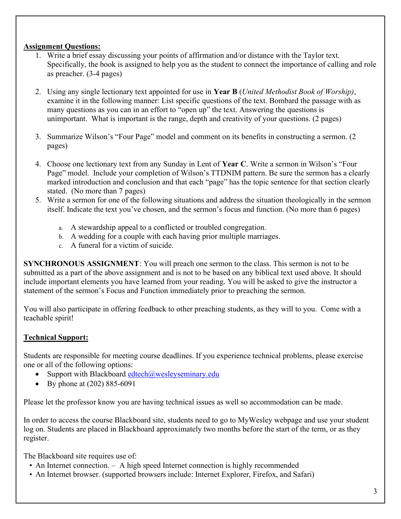#### Assignment Questions:

- 1. Write a brief essay discussing your points of affirmation and/or distance with the Taylor text. Specifically, the book is assigned to help you as the student to connect the importance of calling and role as preacher. (3-4 pages)
- 2. Using any single lectionary text appointed for use in **Year B** (United Methodist Book of Worship), examine it in the following manner: List specific questions of the text. Bombard the passage with as many questions as you can in an effort to "open up" the text. Answering the questions is unimportant. What is important is the range, depth and creativity of your questions. (2 pages)
- 3. Summarize Wilson's "Four Page" model and comment on its benefits in constructing a sermon. (2 pages)
- 4. Choose one lectionary text from any Sunday in Lent of Year C. Write a sermon in Wilson's "Four Page" model. Include your completion of Wilson's TTDNIM pattern. Be sure the sermon has a clearly marked introduction and conclusion and that each "page" has the topic sentence for that section clearly stated. (No more than 7 pages)
- 5. Write a sermon for one of the following situations and address the situation theologically in the sermon itself. Indicate the text you've chosen, and the sermon's focus and function. (No more than 6 pages)
	- a. A stewardship appeal to a conflicted or troubled congregation.
	- b. A wedding for a couple with each having prior multiple marriages.
	- c. A funeral for a victim of suicide.

SYNCHRONOUS ASSIGNMENT: You will preach one sermon to the class. This sermon is not to be submitted as a part of the above assignment and is not to be based on any biblical text used above. It should include important elements you have learned from your reading. You will be asked to give the instructor a statement of the sermon's Focus and Function immediately prior to preaching the sermon.

You will also participate in offering feedback to other preaching students, as they will to you. Come with a teachable spirit!

### Technical Support:

Students are responsible for meeting course deadlines. If you experience technical problems, please exercise one or all of the following options:

- Support with Blackboard edtech $@$ wesleyseminary.edu
- By phone at  $(202) 885-6091$

Please let the professor know you are having technical issues as well so accommodation can be made.

In order to access the course Blackboard site, students need to go to MyWesley webpage and use your student log on. Students are placed in Blackboard approximately two months before the start of the term, or as they register.

The Blackboard site requires use of:

- An Internet connection. A high speed Internet connection is highly recommended
- An Internet browser. (supported browsers include: Internet Explorer, Firefox, and Safari)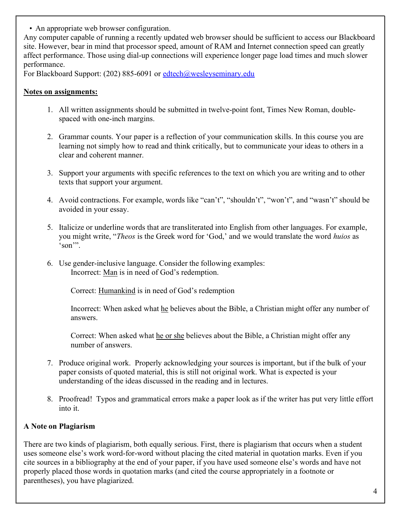• An appropriate web browser configuration.

Any computer capable of running a recently updated web browser should be sufficient to access our Blackboard site. However, bear in mind that processor speed, amount of RAM and Internet connection speed can greatly affect performance. Those using dial-up connections will experience longer page load times and much slower performance.

For Blackboard Support: (202) 885-6091 or edtech@wesleyseminary.edu

#### Notes on assignments:

- 1. All written assignments should be submitted in twelve-point font, Times New Roman, doublespaced with one-inch margins.
- 2. Grammar counts. Your paper is a reflection of your communication skills. In this course you are learning not simply how to read and think critically, but to communicate your ideas to others in a clear and coherent manner.
- 3. Support your arguments with specific references to the text on which you are writing and to other texts that support your argument.
- 4. Avoid contractions. For example, words like "can't", "shouldn't", "won't", and "wasn't" should be avoided in your essay.
- 5. Italicize or underline words that are transliterated into English from other languages. For example, you might write, "Theos is the Greek word for 'God,' and we would translate the word huios as 'son'".
- 6. Use gender-inclusive language. Consider the following examples: Incorrect: Man is in need of God's redemption.

Correct: Humankind is in need of God's redemption

Incorrect: When asked what he believes about the Bible, a Christian might offer any number of answers.

Correct: When asked what he or she believes about the Bible, a Christian might offer any number of answers.

- 7. Produce original work. Properly acknowledging your sources is important, but if the bulk of your paper consists of quoted material, this is still not original work. What is expected is your understanding of the ideas discussed in the reading and in lectures.
- 8. Proofread! Typos and grammatical errors make a paper look as if the writer has put very little effort into it.

### A Note on Plagiarism

There are two kinds of plagiarism, both equally serious. First, there is plagiarism that occurs when a student uses someone else's work word-for-word without placing the cited material in quotation marks. Even if you cite sources in a bibliography at the end of your paper, if you have used someone else's words and have not properly placed those words in quotation marks (and cited the course appropriately in a footnote or parentheses), you have plagiarized.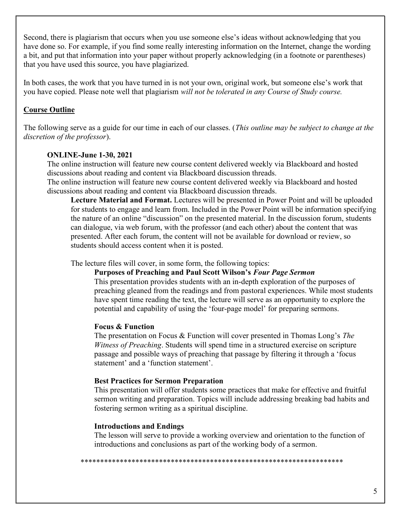Second, there is plagiarism that occurs when you use someone else's ideas without acknowledging that you have done so. For example, if you find some really interesting information on the Internet, change the wording a bit, and put that information into your paper without properly acknowledging (in a footnote or parentheses) that you have used this source, you have plagiarized.

In both cases, the work that you have turned in is not your own, original work, but someone else's work that you have copied. Please note well that plagiarism will not be tolerated in any Course of Study course.

#### Course Outline

The following serve as a guide for our time in each of our classes. (This *outline may be subject to change at the* discretion of the professor).

#### ONLINE-June 1-30, 2021

The online instruction will feature new course content delivered weekly via Blackboard and hosted discussions about reading and content via Blackboard discussion threads.

The online instruction will feature new course content delivered weekly via Blackboard and hosted discussions about reading and content via Blackboard discussion threads.

Lecture Material and Format. Lectures will be presented in Power Point and will be uploaded for students to engage and learn from. Included in the Power Point will be information specifying the nature of an online "discussion" on the presented material. In the discussion forum, students can dialogue, via web forum, with the professor (and each other) about the content that was presented. After each forum, the content will not be available for download or review, so students should access content when it is posted.

The lecture files will cover, in some form, the following topics:

#### Purposes of Preaching and Paul Scott Wilson's Four Page Sermon

This presentation provides students with an in-depth exploration of the purposes of preaching gleaned from the readings and from pastoral experiences. While most students have spent time reading the text, the lecture will serve as an opportunity to explore the potential and capability of using the 'four-page model' for preparing sermons.

#### Focus & Function

The presentation on Focus & Function will cover presented in Thomas Long's The Witness of Preaching. Students will spend time in a structured exercise on scripture passage and possible ways of preaching that passage by filtering it through a 'focus statement' and a 'function statement'.

#### Best Practices for Sermon Preparation

This presentation will offer students some practices that make for effective and fruitful sermon writing and preparation. Topics will include addressing breaking bad habits and fostering sermon writing as a spiritual discipline.

#### Introductions and Endings

The lesson will serve to provide a working overview and orientation to the function of introductions and conclusions as part of the working body of a sermon.

\*\*\*\*\*\*\*\*\*\*\*\*\*\*\*\*\*\*\*\*\*\*\*\*\*\*\*\*\*\*\*\*\*\*\*\*\*\*\*\*\*\*\*\*\*\*\*\*\*\*\*\*\*\*\*\*\*\*\*\*\*\*\*\*\*\*\*